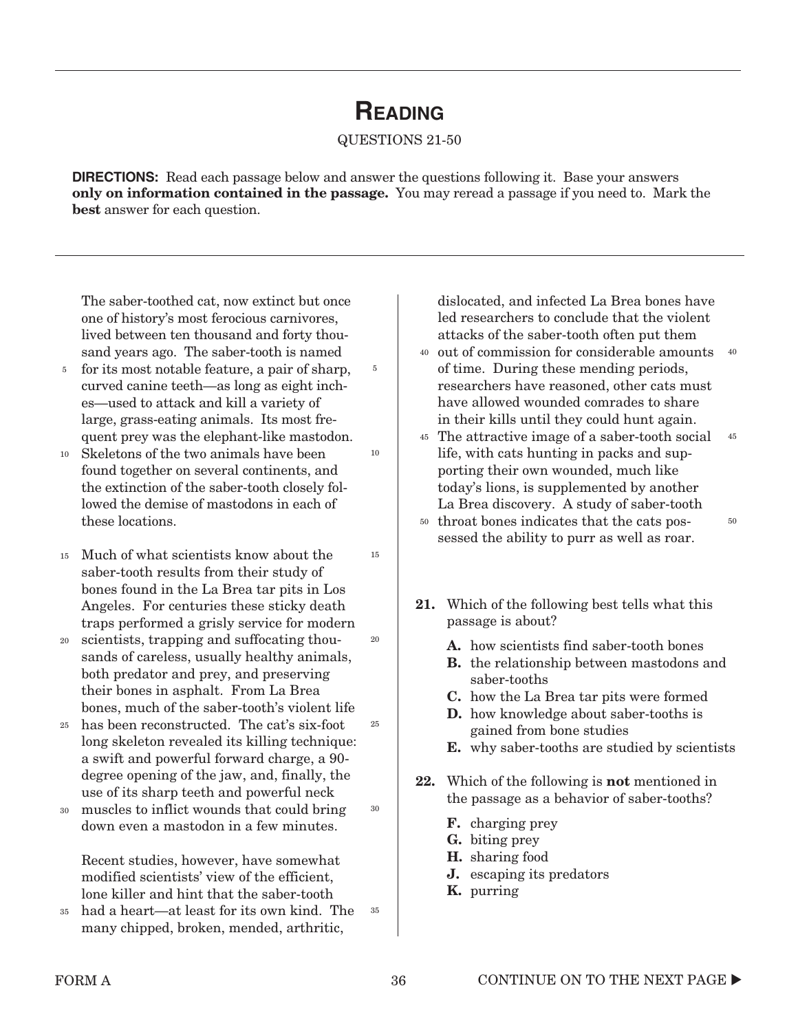## **Reading**

### QUESTIONS 21-50

**DIRECTIONS:** Read each passage below and answer the questions following it. Base your answers **only on information contained in the passage.** You may reread a passage if you need to. Mark the **best** answer for each question.

5

10

25

30

The saber-toothed cat, now extinct but once one of history's most ferocious carnivores, lived between ten thousand and forty thousand years ago. The saber-tooth is named

- for its most notable feature, a pair of sharp, curved canine teeth—as long as eight inches—used to attack and kill a variety of large, grass-eating animals. Its most frequent prey was the elephant-like mastodon. 5
- Skeletons of the two animals have been found together on several continents, and the extinction of the saber-tooth closely followed the demise of mastodons in each of these locations. 10
- Much of what scientists know about the 15 saber-tooth results from their study of bones found in the La Brea tar pits in Los Angeles. For centuries these sticky death traps performed a grisly service for modern 15
- scientists, trapping and suffocating thousands of careless, usually healthy animals, both predator and prey, and preserving their bones in asphalt. From La Brea bones, much of the saber-tooth's violent life 20 20
- has been reconstructed. The cat's six-foot long skeleton revealed its killing technique: a swift and powerful forward charge, a 90 degree opening of the jaw, and, finally, the use of its sharp teeth and powerful neck 25
- muscles to inflict wounds that could bring down even a mastodon in a few minutes. 30

Recent studies, however, have somewhat modified scientists' view of the efficient, lone killer and hint that the saber-tooth

had a heart—at least for its own kind. The many chipped, broken, mended, arthritic, 35 35 dislocated, and infected La Brea bones have led researchers to conclude that the violent attacks of the saber-tooth often put them

- out of commission for considerable amounts 40 40 of time. During these mending periods, researchers have reasoned, other cats must have allowed wounded comrades to share in their kills until they could hunt again.
- The attractive image of a saber-tooth social 45 life, with cats hunting in packs and supporting their own wounded, much like today's lions, is supplemented by another La Brea discovery. A study of saber-tooth 45

50

- <sup>50</sup> throat bones indicates that the cats possessed the ability to purr as well as roar.
- **21.** Which of the following best tells what this passage is about?
	- **A.**  how scientists find saber-tooth bones
	- **B.** the relationship between mastodons and saber-tooths
	- **C.**  how the La Brea tar pits were formed
	- **D.** how knowledge about saber-tooths is gained from bone studies
	- **E.** why saber-tooths are studied by scientists
- **22.** Which of the following is **not** mentioned in the passage as a behavior of saber-tooths?
	- **F.** charging prey
	- **G.**  biting prey
	- **H.** sharing food
	- **J.**  escaping its predators
	- **K.**  purring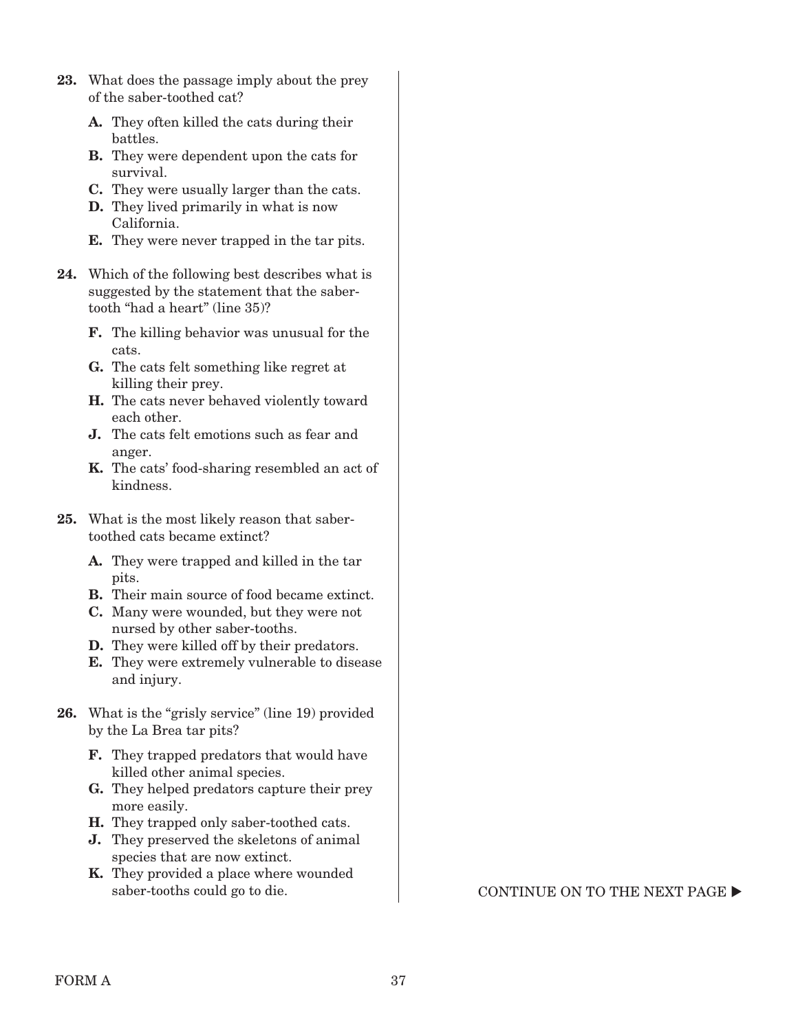- **23.** What does the passage imply about the prey of the saber-toothed cat?
	- **A.**  They often killed the cats during their battles.
	- **B.** They were dependent upon the cats for survival.
	- **C.**  They were usually larger than the cats.
	- **D.** They lived primarily in what is now California.
	- **E.** They were never trapped in the tar pits.
- **24.** Which of the following best describes what is suggested by the statement that the sabertooth "had a heart" (line 35)?
	- **F.** The killing behavior was unusual for the cats.
	- **G.**  The cats felt something like regret at killing their prey.
	- **H.** The cats never behaved violently toward each other.
	- **J.** The cats felt emotions such as fear and anger.
	- **K.** The cats' food-sharing resembled an act of kindness.
- **25.** What is the most likely reason that sabertoothed cats became extinct?
	- **A.**  They were trapped and killed in the tar pits.
	- **B.** Their main source of food became extinct.
	- **C.**  Many were wounded, but they were not nursed by other saber-tooths.
	- **D.** They were killed off by their predators.
	- **E.** They were extremely vulnerable to disease and injury.
- **26.** What is the "grisly service" (line 19) provided by the La Brea tar pits?
	- **F.** They trapped predators that would have killed other animal species.
	- **G.** They helped predators capture their prey more easily.
	- **H.** They trapped only saber-toothed cats.
	- **J.** They preserved the skeletons of animal species that are now extinct.
	- **K.** They provided a place where wounded

saber-tooths could go to die. CONTINUE ON TO THE NEXT PAGE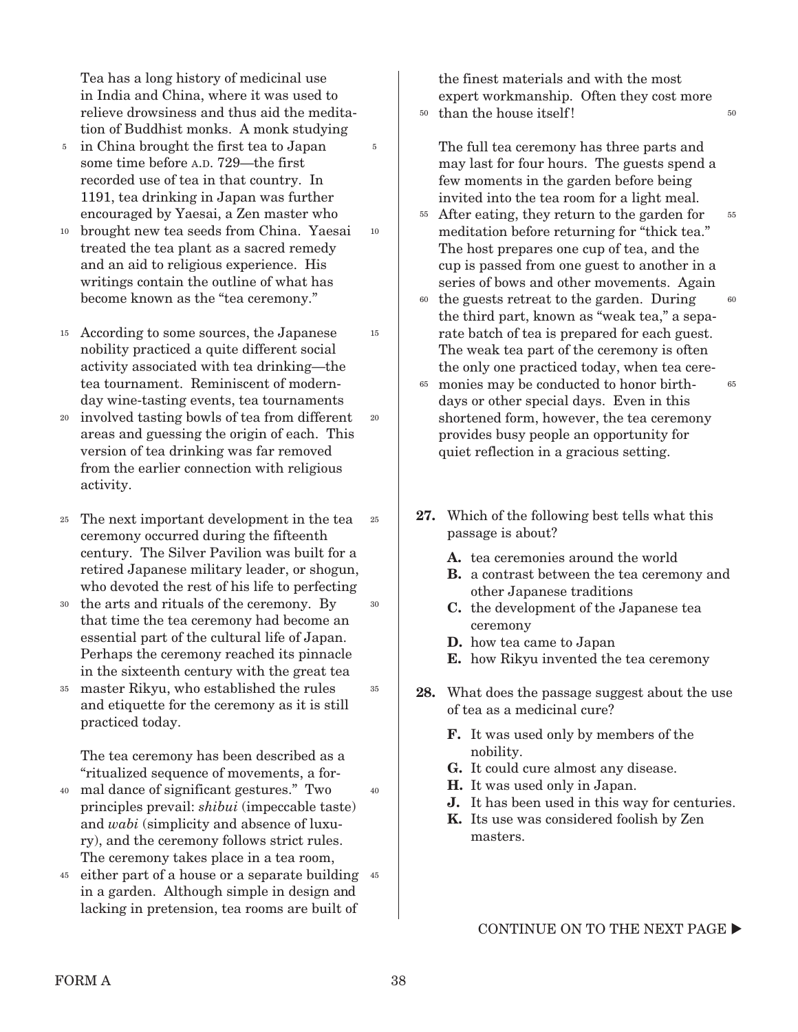Tea has a long history of medicinal use in India and China, where it was used to relieve drowsiness and thus aid the meditation of Buddhist monks. A monk studying

5

10

15

- <sup>5</sup> in China brought the first tea to Japan some time before A.D. 729—the first recorded use of tea in that country. In 1191, tea drinking in Japan was further encouraged by Yaesai, a Zen master who
- brought new tea seeds from China. Yaesai 10 treated the tea plant as a sacred remedy and an aid to religious experience. His writings contain the outline of what has become known as the "tea ceremony."
- According to some sources, the Japanese 15 nobility practiced a quite different social activity associated with tea drinking—the tea tournament. Reminiscent of modernday wine-tasting events, tea tournaments
- involved tasting bowls of tea from different 20 areas and guessing the origin of each. This version of tea drinking was far removed from the earlier connection with religious activity. 20
- The next important development in the tea ceremony occurred during the fifteenth century. The Silver Pavilion was built for a retired Japanese military leader, or shogun, who devoted the rest of his life to perfecting 25 25
- the arts and rituals of the ceremony. By 30 that time the tea ceremony had become an essential part of the cultural life of Japan. Perhaps the ceremony reached its pinnacle in the sixteenth century with the great tea 30 35
- master Rikyu, who established the rules and etiquette for the ceremony as it is still practiced today. 35

The tea ceremony has been described as a "ritualized sequence of movements, a for-

- mal dance of significant gestures." Two 40 principles prevail: *shibui* (impeccable taste) and *wabi* (simplicity and absence of luxury), and the ceremony follows strict rules. The ceremony takes place in a tea room,
- either part of a house or a separate building 4 in a garden. Although simple in design and lacking in pretension, tea rooms are built of 45

the finest materials and with the most expert workmanship. Often they cost more

<sup>50</sup> than the house itself!

50

The full tea ceremony has three parts and may last for four hours. The guests spend a few moments in the garden before being invited into the tea room for a light meal.

- After eating, they return to the garden for 55 meditation before returning for "thick tea." The host prepares one cup of tea, and the cup is passed from one guest to another in a series of bows and other movements. Again 55
- <sup>60</sup> the guests retreat to the garden. During the third part, known as "weak tea," a separate batch of tea is prepared for each guest. The weak tea part of the ceremony is often the only one practiced today, when tea cere-60
- monies may be conducted to honor birth-65 days or other special days. Even in this shortened form, however, the tea ceremony provides busy people an opportunity for quiet reflection in a gracious setting. 65
- **27.** Which of the following best tells what this passage is about?
	- **A.** tea ceremonies around the world
	- **B.** a contrast between the tea ceremony and other Japanese traditions
	- **C.** the development of the Japanese tea ceremony
	- **D.** how tea came to Japan
	- **E.** how Rikyu invented the tea ceremony
- **28.** What does the passage suggest about the use of tea as a medicinal cure?
	- **F.** It was used only by members of the nobility.
	- **G.** It could cure almost any disease.
	- **H.** It was used only in Japan.
	- **J.** It has been used in this way for centuries.
	- **K.** Its use was considered foolish by Zen masters.

CONTINUE ON TO THE NEXT PAGE  $\blacktriangleright$ 

40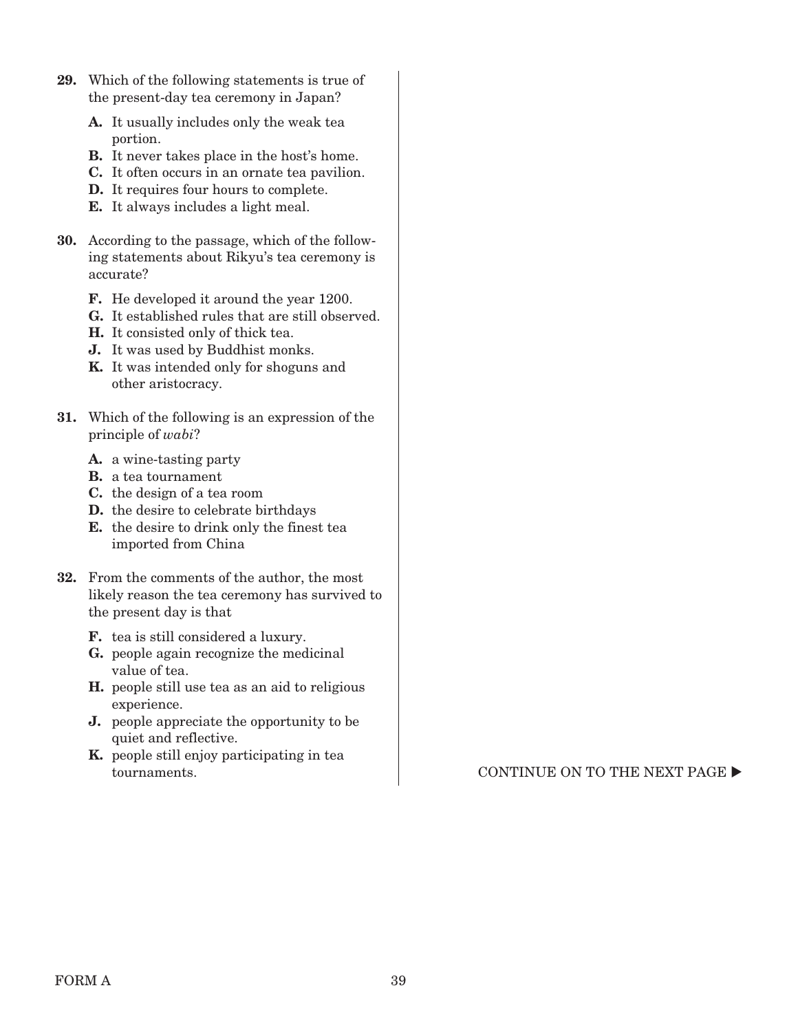- **29.** Which of the following statements is true of the present-day tea ceremony in Japan?
	- **A.** It usually includes only the weak tea portion.
	- **B.** It never takes place in the host's home.
	- **C.** It often occurs in an ornate tea pavilion.
	- **D.** It requires four hours to complete.
	- **E.** It always includes a light meal.
- **30.** According to the passage, which of the following statements about Rikyu's tea ceremony is accurate?
	- **F.** He developed it around the year 1200.
	- **G.** It established rules that are still observed.
	- **H.** It consisted only of thick tea.
	- **J.** It was used by Buddhist monks.
	- **K.** It was intended only for shoguns and other aristocracy.
- **31.** Which of the following is an expression of the principle of *wabi*?
	- **A.** a wine-tasting party
	- **B.** a tea tournament
	- **C.** the design of a tea room
	- **D.** the desire to celebrate birthdays
	- **E.** the desire to drink only the finest tea imported from China
- **32.** From the comments of the author, the most likely reason the tea ceremony has survived to the present day is that
	- **F.** tea is still considered a luxury.
	- **G.** people again recognize the medicinal value of tea.
	- **H.** people still use tea as an aid to religious experience.
	- **J.** people appreciate the opportunity to be quiet and reflective.
	- **K.** people still enjoy participating in tea

tournaments.  $\bullet$  contribution on the NEXT PAGE  $\triangleright$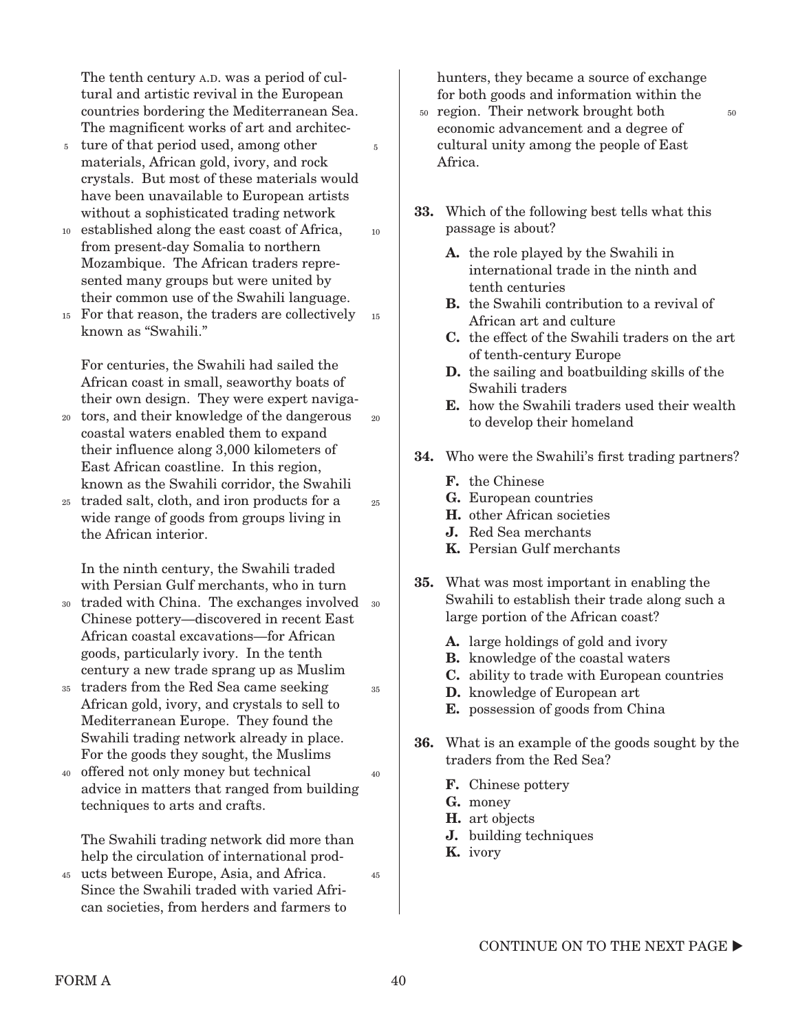The tenth century A.D. was a period of cultural and artistic revival in the European countries bordering the Mediterranean Sea. The magnificent works of art and architec-

5

10

25

35

40

45

- ture of that period used, among other materials, African gold, ivory, and rock crystals. But most of these materials would have been unavailable to European artists without a sophisticated trading network 5
- established along the east coast of Africa, 10 from present-day Somalia to northern Mozambique. The African traders represented many groups but were united by their common use of the Swahili language.
- For that reason, the traders are collectively 15 known as "Swahili." 15

For centuries, the Swahili had sailed the African coast in small, seaworthy boats of their own design. They were expert naviga-

- tors, and their knowledge of the dangerous coastal waters enabled them to expand their influence along 3,000 kilometers of East African coastline. In this region, known as the Swahili corridor, the Swahili 20 20
- traded salt, cloth, and iron products for a 25 wide range of goods from groups living in the African interior.

In the ninth century, the Swahili traded with Persian Gulf merchants, who in turn

- traded with China. The exchanges involved 30 30 Chinese pottery—discovered in recent East African coastal excavations—for African goods, particularly ivory. In the tenth century a new trade sprang up as Muslim
- traders from the Red Sea came seeking African gold, ivory, and crystals to sell to Mediterranean Europe. They found the Swahili trading network already in place. For the goods they sought, the Muslims 35
- 40 offered not only money but technical advice in matters that ranged from building techniques to arts and crafts.

The Swahili trading network did more than help the circulation of international prod-

ucts between Europe, Asia, and Africa. Since the Swahili traded with varied African societies, from herders and farmers to 45

hunters, they became a source of exchange for both goods and information within the

- <sup>50</sup> region. Their network brought both 50 economic advancement and a degree of cultural unity among the people of East Africa.
- **33.** Which of the following best tells what this passage is about?
	- **A.**  the role played by the Swahili in international trade in the ninth and tenth centuries
	- **B.** the Swahili contribution to a revival of African art and culture
	- **C.**  the effect of the Swahili traders on the art of tenth-century Europe
	- **D.** the sailing and boatbuilding skills of the Swahili traders
	- **E.**  how the Swahili traders used their wealth to develop their homeland
- **34.** Who were the Swahili's first trading partners?
	- **F.**  the Chinese
	- **G.**  European countries
	- **H.**  other African societies
	- **J.**  Red Sea merchants
	- **K.**  Persian Gulf merchants
- **35.** What was most important in enabling the Swahili to establish their trade along such a large portion of the African coast?
	- **A.**  large holdings of gold and ivory
	- **B.** knowledge of the coastal waters
	- **C.**  ability to trade with European countries
	- **D.**  knowledge of European art
	- **E.**  possession of goods from China
- **36.** What is an example of the goods sought by the traders from the Red Sea?
	- **F.**  Chinese pottery
	- **G.**  money
	- **H.** art objects
	- **J.** building techniques
	- **K.**  ivory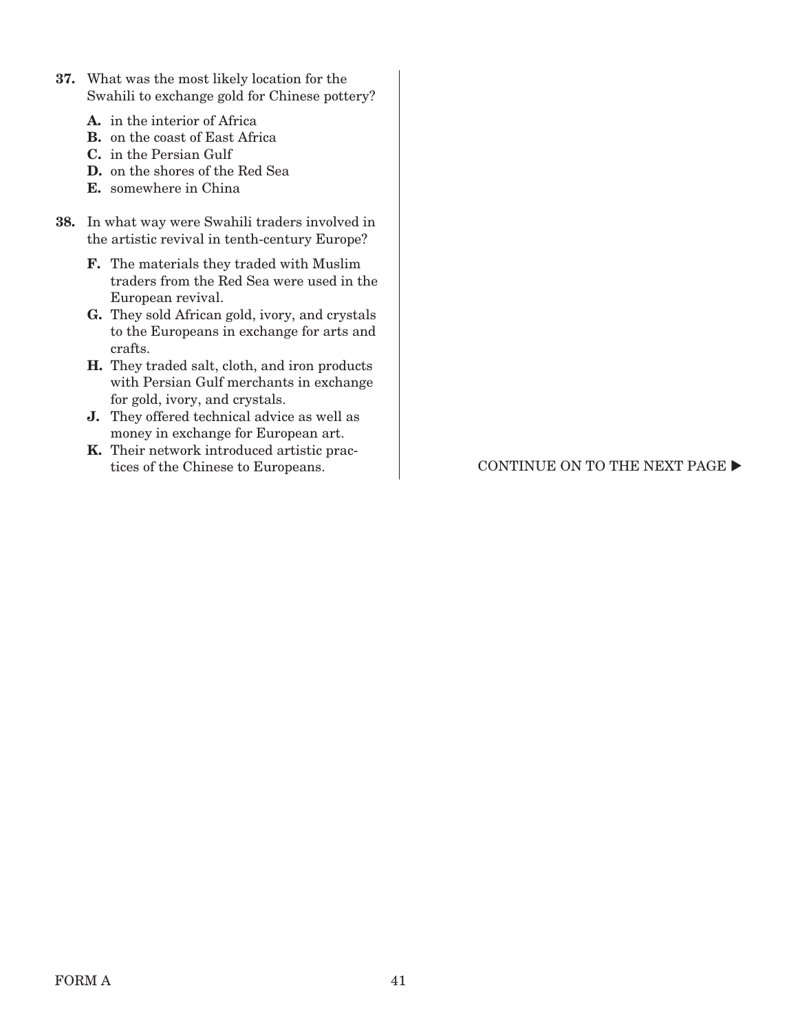- **37.** What was the most likely location for the Swahili to exchange gold for Chinese pottery?
	- **A.**  in the interior of Africa
	- **B.** on the coast of East Africa
	- **C.**  in the Persian Gulf
	- **D.**  on the shores of the Red Sea
	- **E.**  somewhere in China
- **38.** In what way were Swahili traders involved in the artistic revival in tenth-century Europe?
	- **F.** The materials they traded with Muslim traders from the Red Sea were used in the European revival.
	- **G.** They sold African gold, ivory, and crystals to the Europeans in exchange for arts and crafts.
	- **H.** They traded salt, cloth, and iron products with Persian Gulf merchants in exchange for gold, ivory, and crystals.
	- **J.** They offered technical advice as well as money in exchange for European art.
	- **K.** Their network introduced artistic prac-

tices of the Chinese to Europeans. CONTINUE ON TO THE NEXT PAGE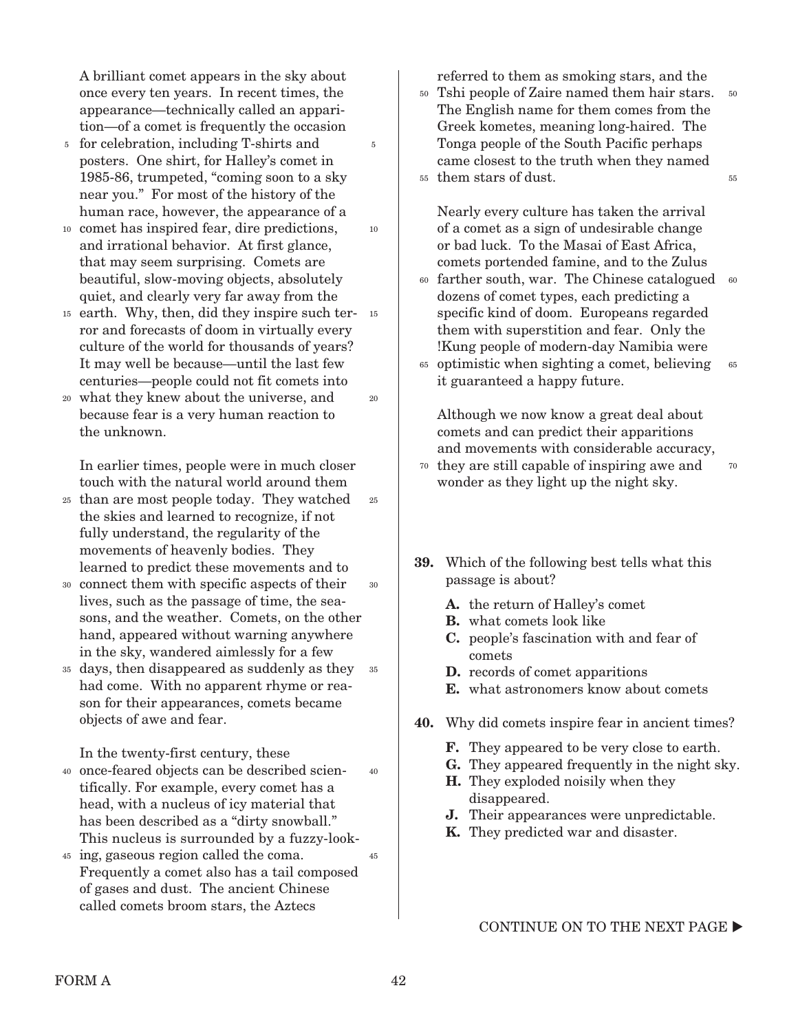A brilliant comet appears in the sky about once every ten years. In recent times, the appearance—technically called an apparition—of a comet is frequently the occasion

5

10

- <sup>5</sup> for celebration, including T-shirts and posters. One shirt, for Halley's comet in 1985-86, trumpeted, "coming soon to a sky near you." For most of the history of the human race, however, the appearance of a
- comet has inspired fear, dire predictions, 10 and irrational behavior. At first glance, that may seem surprising. Comets are beautiful, slow-moving objects, absolutely quiet, and clearly very far away from the
- $15$  earth. Why, then, did they inspire such ter-  $1$ ror and forecasts of doom in virtually every culture of the world for thousands of years? It may well be because—until the last few centuries—people could not fit comets into
- what they knew about the universe, and 20 because fear is a very human reaction to the unknown. 20

In earlier times, people were in much closer touch with the natural world around them

- than are most people today. They watched 25 the skies and learned to recognize, if not fully understand, the regularity of the movements of heavenly bodies. They learned to predict these movements and to 25
- connect them with specific aspects of their 30 lives, such as the passage of time, the seasons, and the weather. Comets, on the other hand, appeared without warning anywhere in the sky, wandered aimlessly for a few 30
- days, then disappeared as suddenly as they 35 had come. With no apparent rhyme or reason for their appearances, comets became objects of awe and fear. 35

In the twenty-first century, these

- once-feared objects can be described scien-40 tifically. For example, every comet has a head, with a nucleus of icy material that has been described as a "dirty snowball." This nucleus is surrounded by a fuzzy-look-40
- ing, gaseous region called the coma. 45 Frequently a comet also has a tail composed of gases and dust. The ancient Chinese called comets broom stars, the Aztecs 45

referred to them as smoking stars, and the

Tshi people of Zaire named them hair stars. 50 The English name for them comes from the Greek kometes, meaning long-haired. The Tonga people of the South Pacific perhaps came closest to the truth when they named them stars of dust. 55 50 55

Nearly every culture has taken the arrival of a comet as a sign of undesirable change or bad luck. To the Masai of East Africa, comets portended famine, and to the Zulus

- farther south, war. The Chinese catalogued 60 60 dozens of comet types, each predicting a specific kind of doom. Europeans regarded them with superstition and fear. Only the !Kung people of modern-day Namibia were
- optimistic when sighting a comet, believing 65 it guaranteed a happy future. 65

Although we now know a great deal about comets and can predict their apparitions and movements with considerable accuracy, they are still capable of inspiring awe and 70 wonder as they light up the night sky.

70

- **39.** Which of the following best tells what this passage is about?
	- **A.** the return of Halley's comet
	- **B.** what comets look like
	- **C.** people's fascination with and fear of comets
	- **D.** records of comet apparitions
	- **E.** what astronomers know about comets
- **40.** Why did comets inspire fear in ancient times?
	- **F.** They appeared to be very close to earth.
	- **G.** They appeared frequently in the night sky.
	- **H.** They exploded noisily when they disappeared.
	- **J.** Their appearances were unpredictable.
	- **K.** They predicted war and disaster.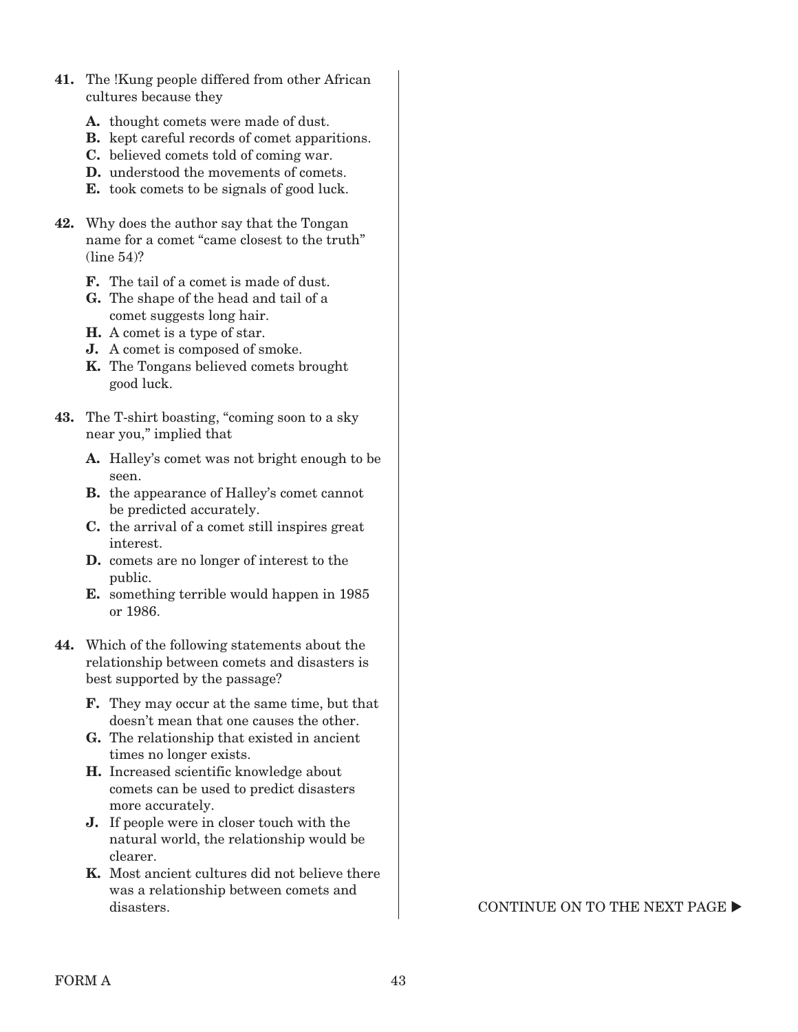- **41.** The !Kung people differed from other African cultures because they
	- **A.** thought comets were made of dust.
	- **B.** kept careful records of comet apparitions.
	- **C.** believed comets told of coming war.
	- **D.** understood the movements of comets.
	- **E.** took comets to be signals of good luck.
- **42.** Why does the author say that the Tongan name for a comet "came closest to the truth" (line 54)?
	- **F.** The tail of a comet is made of dust.
	- **G.** The shape of the head and tail of a comet suggests long hair.
	- **H.** A comet is a type of star.
	- **J.** A comet is composed of smoke.
	- **K.** The Tongans believed comets brought good luck.
- **43.** The T-shirt boasting, "coming soon to a sky near you," implied that
	- **A.** Halley's comet was not bright enough to be seen.
	- **B.** the appearance of Halley's comet cannot be predicted accurately.
	- **C.** the arrival of a comet still inspires great interest.
	- **D.** comets are no longer of interest to the public.
	- **E.** something terrible would happen in 1985 or 1986.
- **44.** Which of the following statements about the relationship between comets and disasters is best supported by the passage?
	- **F.** They may occur at the same time, but that doesn't mean that one causes the other.
	- **G.** The relationship that existed in ancient times no longer exists.
	- **H.** Increased scientific knowledge about comets can be used to predict disasters more accurately.
	- **J.** If people were in closer touch with the natural world, the relationship would be clearer.
	- **K.** Most ancient cultures did not believe there was a relationship between comets and disasters. The contract of the CONTINUE ON TO THE NEXT PAGE  $\blacktriangleright$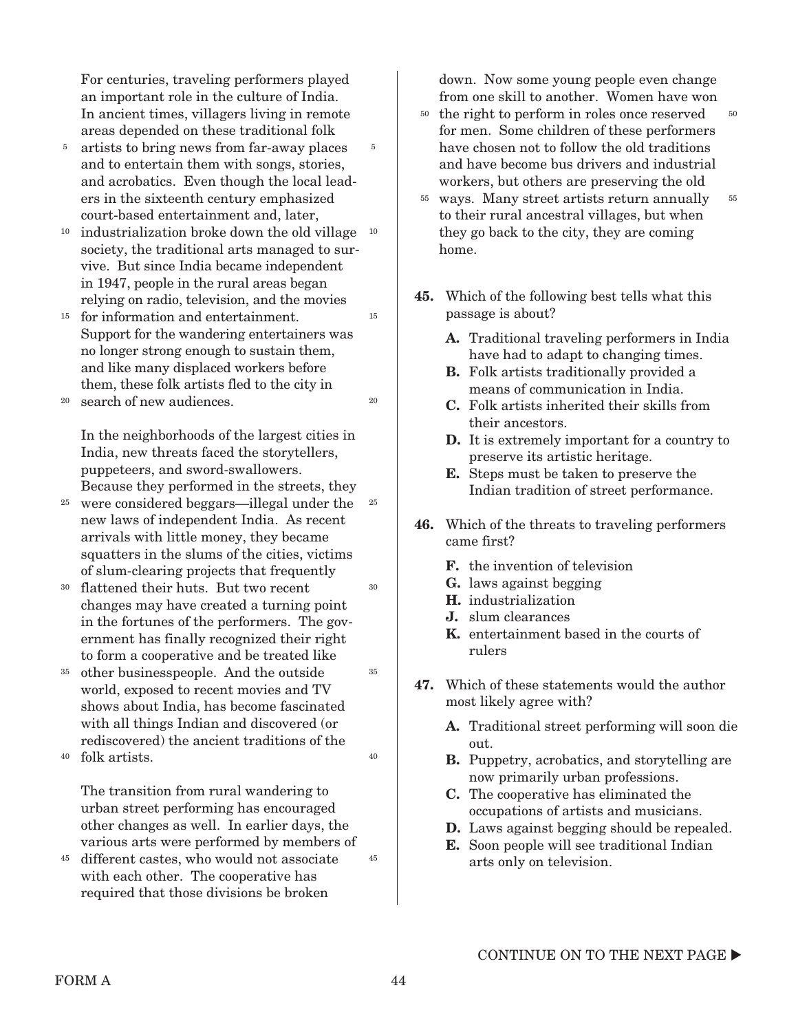For centuries, traveling performers played an important role in the culture of India. In ancient times, villagers living in remote areas depended on these traditional folk

5

15

20

30

35

40

- 5 artists to bring news from far-away places and to entertain them with songs, stories, and acrobatics. Even though the local leaders in the sixteenth century emphasized court-based entertainment and, later,
- <sup>10</sup> industrialization broke down the old village <sup>10</sup> society, the traditional arts managed to survive. But since India became independent in 1947, people in the rural areas began relying on radio, television, and the movies
- 15 for information and entertainment. Support for the wandering entertainers was no longer strong enough to sustain them, and like many displaced workers before them, these folk artists fled to the city in
- 20 search of new audiences.

In the neighborhoods of the largest cities in India, new threats faced the storytellers, puppeteers, and sword-swallowers. Because they performed in the streets, they

- 25 were considered beggars—illegal under the 25 new laws of independent India. As recent arrivals with little money, they became squatters in the slums of the cities, victims of slum-clearing projects that frequently
- 30 flattened their huts. But two recent changes may have created a turning point in the fortunes of the performers. The government has finally recognized their right to form a cooperative and be treated like
- 35 other businesspeople. And the outside world, exposed to recent movies and TV shows about India, has become fascinated with all things Indian and discovered (or rediscovered) the ancient traditions of the

40 folk artists.

> The transition from rural wandering to urban street performing has encouraged other changes as well. In earlier days, the various arts were performed by members of

45 different castes, who would not associate 45 with each other. The cooperative has required that those divisions be broken

down. Now some young people even change from one skill to another. Women have won

- <sup>50</sup> the right to perform in roles once reserved for men. Some children of these performers have chosen not to follow the old traditions and have become bus drivers and industrial workers, but others are preserving the old 50
- ways. Many street artists return annually 55 to their rural ancestral villages, but when they go back to the city, they are coming home. 55
- **45.** Which of the following best tells what this passage is about?
	- **A.**  Traditional traveling performers in India have had to adapt to changing times.
	- **B.** Folk artists traditionally provided a means of communication in India.
	- **C.**  Folk artists inherited their skills from their ancestors.
	- **D.** It is extremely important for a country to preserve its artistic heritage.
	- **E.**  Steps must be taken to preserve the Indian tradition of street performance.
- **46.** Which of the threats to traveling performers came first?
	- **F.** the invention of television
	- **G.**  laws against begging
	- **H.**  industrialization
	- **J.**  slum clearances
	- **K.**  entertainment based in the courts of rulers
- **47.** Which of these statements would the author most likely agree with?
	- **A.**  Traditional street performing will soon die out.
	- **B.** Puppetry, acrobatics, and storytelling are now primarily urban professions.
	- **C.**  The cooperative has eliminated the occupations of artists and musicians.
	- **D.** Laws against begging should be repealed.
	- **E.**  Soon people will see traditional Indian arts only on television.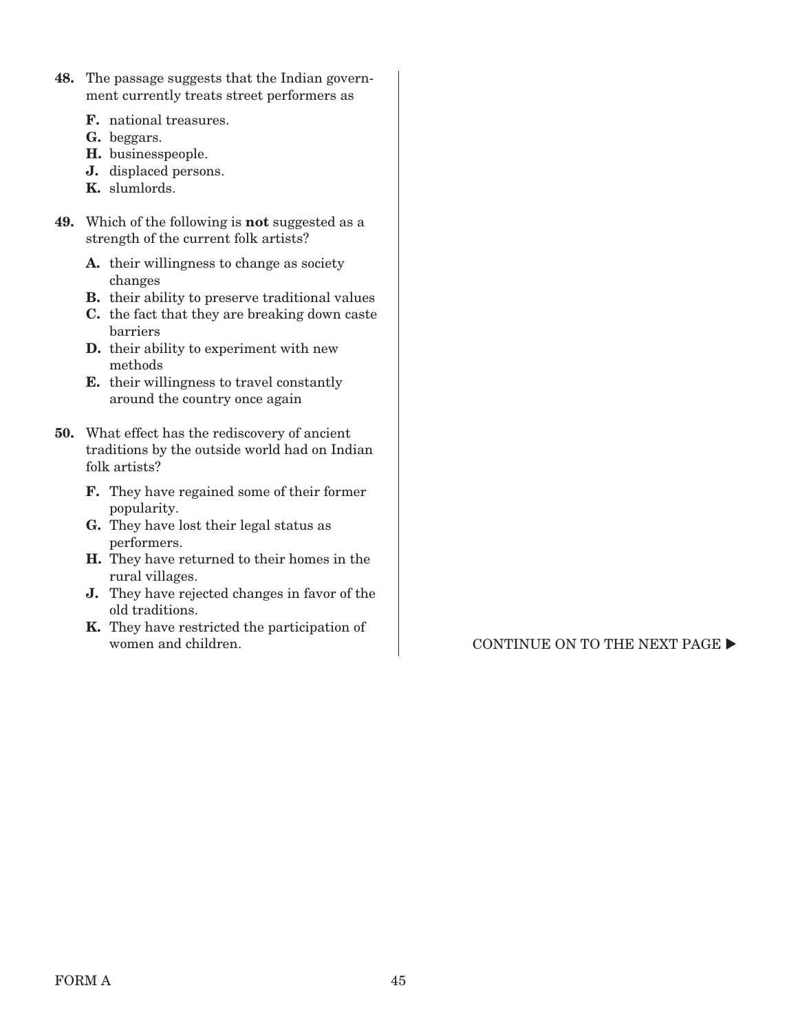- **48.** The passage suggests that the Indian government currently treats street performers as
	- **F.** national treasures.
	- **G.**  beggars.
	- H. businesspeople.
	- **J.** displaced persons.
	- **K.**  slumlords.
- **49.** Which of the following is **not** suggested as a strength of the current folk artists?
	- A. their willingness to change as society changes
	- **B.** their ability to preserve traditional values
	- **C.**  the fact that they are breaking down caste barriers
	- **D.** their ability to experiment with new methods
	- **E.** their willingness to travel constantly around the country once again
- **50.** What effect has the rediscovery of ancient traditions by the outside world had on Indian folk artists?
	- **F.** They have regained some of their former popularity.
	- **G.** They have lost their legal status as performers.
	- **H.** They have returned to their homes in the rural villages.
	- **J.** They have rejected changes in favor of the old traditions.
	- **K.** They have restricted the participation of

women and children.  $\blacksquare$  CONTINUE ON TO THE NEXT PAGE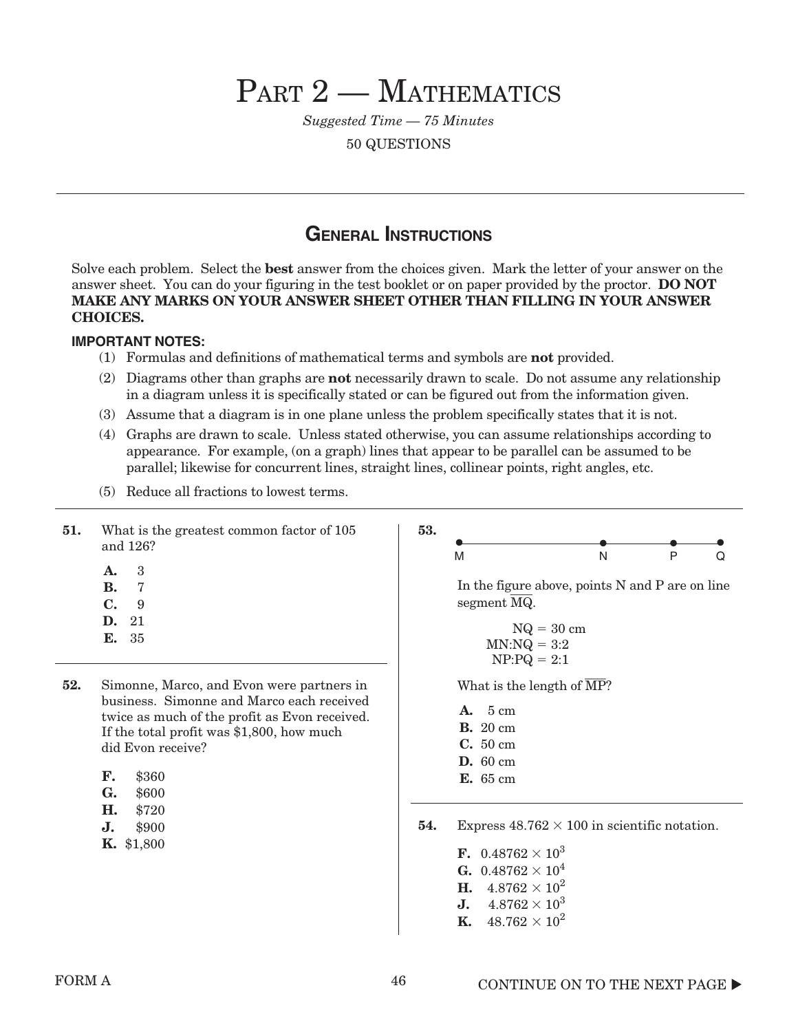# PART 2 - MATHEMATICS

*Suggested Time — 75 Minutes* 50 QUESTIONS

## **General Instructions**

Solve each problem. Select the **best** answer from the choices given. Mark the letter of your answer on the answer sheet. You can do your figuring in the test booklet or on paper provided by the proctor. **DO NOT MAKE ANY MARKS ON YOUR ANSWER SHEET OTHER THAN FILLING IN YOUR ANSWER CHOICES.**

#### **Important Notes:**

- (1) Formulas and definitions of mathematical terms and symbols are **not** provided.
- (2) Diagrams other than graphs are **not** necessarily drawn to scale. Do not assume any relationship in a diagram unless it is specifically stated or can be figured out from the information given.
- (3) Assume that a diagram is in one plane unless the problem specifically states that it is not.
- (4) Graphs are drawn to scale. Unless stated otherwise, you can assume relationships according to appearance. For example, (on a graph) lines that appear to be parallel can be assumed to be parallel; likewise for concurrent lines, straight lines, collinear points, right angles, etc.
- (5) Reduce all fractions to lowest terms.
- **51.** What is the greatest common factor of 105 **53.**  $\bullet$   $\bullet$   $\bullet$   $\bullet$   $\bullet$ and 126? M N P Q A. 3 In the figure above, points N and P are on line **B.**  $\overline{7}$ segment MQ.  $C_{\bullet}$ 9 **D.**  21  $NQ = 30$  cm **E.** 35  $MN:NQ = 3:2$  $NP: PQ = 2:1$ What is the length of  $\overline{\text{MP}}$ ? **52.** Simonne, Marco, and Evon were partners in business. Simonne and Marco each received **A.** 5 cm twice as much of the profit as Evon received. **B.** 20 cm If the total profit was \$1,800, how much **C.** 50 cm did Evon receive? **D.** 60 cm **F.** \$360 **E.** 65 cm **G.** \$600 **H.** \$720 **54.** Express  $48.762 \times 100$  in scientific notation. **J.** \$900 **K.** \$1,800

**F.**  $0.48762 \times 10^3$ **G.** 0.48762  $\times 10^4$ **H.**  $4.8762 \times 10^2$ 

> **J.**  $4.8762 \times 10^3$ **K.**  $48.762 \times 10^2$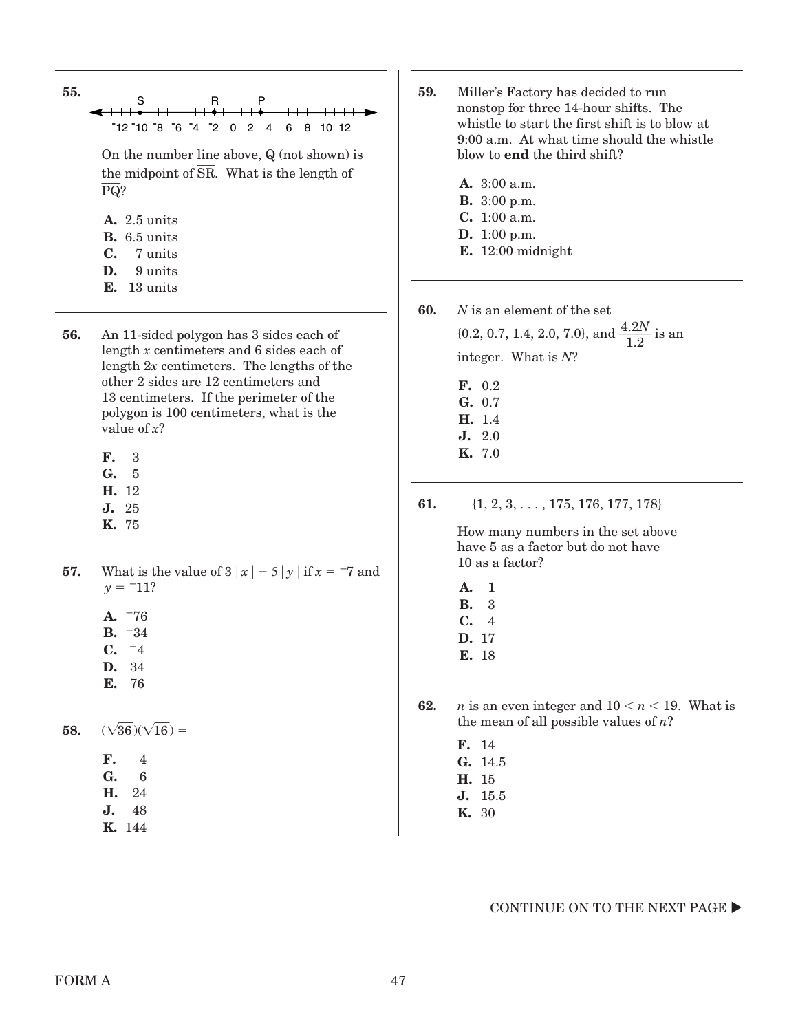| 55. | S<br>Р<br>R.                                             |
|-----|----------------------------------------------------------|
|     |                                                          |
|     | $-12 - 10 - 8 - 6 - 4 - 2 = 0 + 2 = 4 + 6 + 8 + 10 + 12$ |
|     | On the number line above, $Q$ (not shown) is             |
|     | the midpoint of SR. What is the length of                |
|     | PQ?                                                      |
|     | $A. 2.5 \text{ units}$                                   |
|     | $\mathbf{B}$ . 6.5 units                                 |
|     | 7 units<br>С.                                            |
|     | 9 units<br>D.                                            |
|     | 13 units<br>Е.                                           |

- **56.**  An 11-sided polygon has 3 sides each of length *x* centimeters and 6 sides each of length 2*x* centimeters. The lengths of the other 2 sides are 12 centimeters and 13 centimeters. If the perimeter of the polygon is 100 centimeters, what is the value of *x*?
	- **F.** 3
	- G. 5
	- **H.** 12
	- **J.** 25
	- **K.** 75
- **57.** What is the value of  $3 |x| 5 |y|$  if  $x = -7$  and  $y = -11?$ 
	- $A. 76$
	- **B.** 34
	- **C.**  $-4$
	- **D.** 34
	- **E.** 76

**58.**  $(\sqrt{36})(\sqrt{16}) =$ 

- **G.** 6 **H.** 24
- **J.** 48
- **K.** 144
- 59. Miller's Factory has decided to run nonstop for three 14-hour shifts. The whistle to start the first shift is to blow at 9:00 a.m. At what time should the whistle blow to **end** the third shift?
	- **A.** 3:00 a.m.
	- **B.** 3:00 p.m.
	- **C.** 1:00 a.m.
	- **D.** 1:00 p.m.
	- **E.** 12:00 midnight
- **60.**  *N* is an element of the set

 $\{0.2, 0.7, 1.4, 2.0, 7.0\}$ , and  $\frac{4.2N}{1.2}$  is an integer. What is *N*?

**F.** 0.2 **G.** 0.7 **H.** 1.4 **J.** 2.0 **K.** 7.0

**61.** {1, 2, 3, . . . , 175, 176, 177, 178}

How many numbers in the set above have 5 as a factor but do not have 10 as a factor?

- **A.** 11
- **B.** 13
- **C.** 4 **D.** 17
- **E.** 18
- 
- **62.** *n* is an even integer and  $10 \le n \le 19$ . What is the mean of all possible values of *n*?
	- **F.** 14
	- **G.** 14.5
	- **H.** 15
	- **J.** 15.5
	- **K.** 30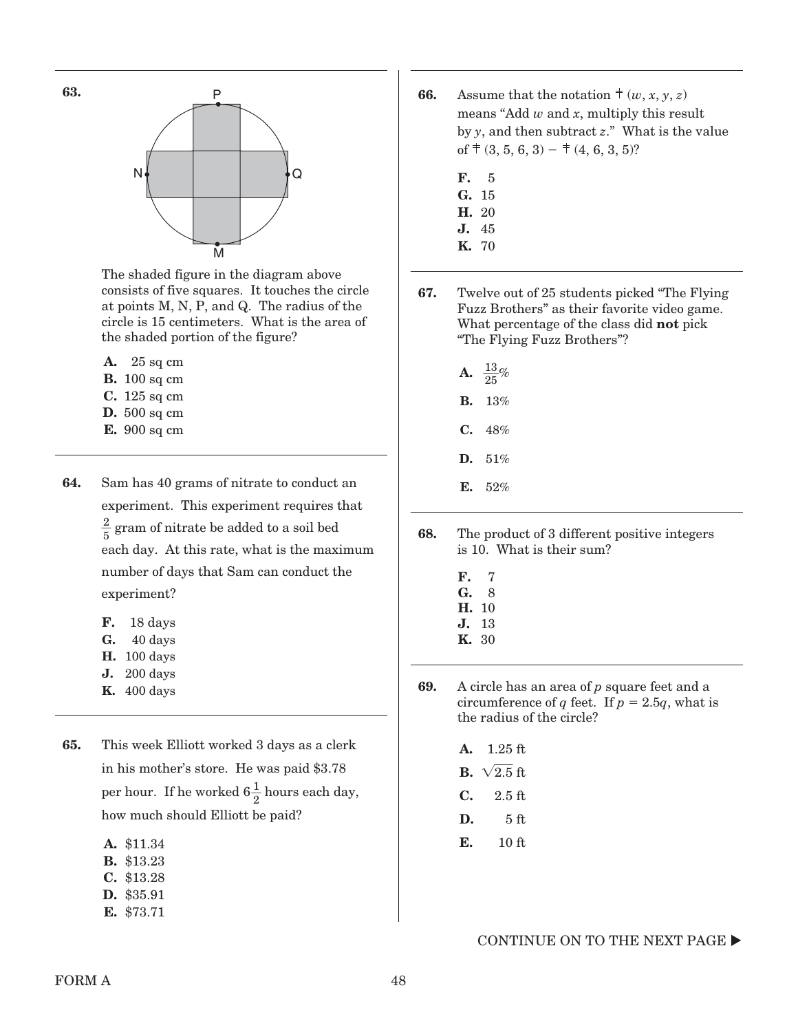

The shaded figure in the diagram above consists of five squares. It touches the circle at points M, N, P, and Q. The radius of the circle is 15 centimeters. What is the area of the shaded portion of the figure?

- **A.** 25 sq cm
- **B.** 100 sq cm
- **C.** 125 sq cm
- **D.** 500 sq cm
- **E.** 900 sq cm
- **64.** Sam has 40 grams of nitrate to conduct an experiment. This experiment requires that  $\frac{2}{5}$  gram of nitrate be added to a soil bed each day. At this rate, what is the maximum number of days that Sam can conduct the experiment?
	- **F.** 18 days
	- **G.** 40 days
	- **H.** 100 days
	- **J.** 200 days
	- **K.** 400 days
- **65.**  This week Elliott worked 3 days as a clerk in his mother's store. He was paid \$3.78 per hour. If he worked  $6\frac{1}{2}$  hours each day, how much should Elliott be paid?

| A. \$11.34        |
|-------------------|
| <b>B.</b> \$13.23 |

- **C.** \$13.28
- **D.** \$35.91
- **E.** \$73.71
- **66.** Assume that the notation  $\neq (w, x, y, z)$ means "Add *w* and *x*, multiply this result by *y*, and then subtract *z*." What is the value of  $\dagger$  (3, 5, 6, 3) –  $\dagger$  (4, 6, 3, 5)?
	- **F.** 15
	- **G.** 15
	- **H.** 20
	- **J.** 45
	- **K.** 70
- **67.**  Twelve out of 25 students picked "The Flying Fuzz Brothers" as their favorite video game. What percentage of the class did **not** pick "The Flying Fuzz Brothers"?
	- **A.**  $\frac{13}{25}\%$
	- **B.** 13%
	- **C.** 48%
	- **D.** 51%
	- **E.** 52%
- **68.**  The product of 3 different positive integers is 10. What is their sum?
	- **F.** 7 **G.** 18
	- **H.** 10
	- **J.** 13
	- **K.** 30
- **69.**  A circle has an area of *p* square feet and a circumference of *q* feet. If  $p = 2.5q$ , what is the radius of the circle?
	- **A.** 1.25 ft
	- **B.**  $\sqrt{2.5}$  ft
	- **C.** 2.5 ft
	- **D.** 5 ft
	- **E.** 10 ft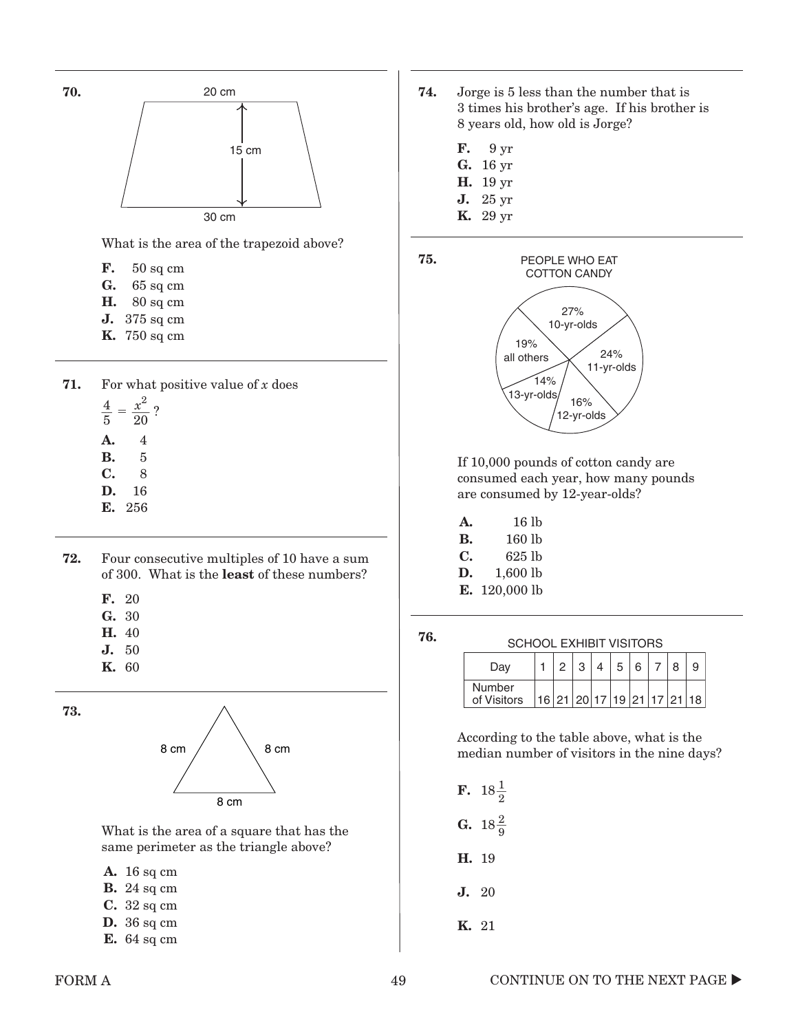

|    | $\frac{4}{5} = \frac{x^2}{20}$<br>$-2$ |
|----|----------------------------------------|
| A. | 4                                      |
| В. | 5                                      |
| C. | 8                                      |
| D. | 16                                     |
|    | E. 256                                 |

- **72.**  Four consecutive multiples of 10 have a sum of 300. What is the **least** of these numbers?
	- **F.** 20
	- **G.** 30
	- **H.** 40
	- **J.** 50
	- **K.** 60





What is the area of a square that has the same perimeter as the triangle above?

- **A.** 16 sq cm
- **B.** 24 sq cm
- **C.** 32 sq cm
- **D.** 36 sq cm
- **E.** 64 sq cm
- **74.**  Jorge is 5 less than the number that is 3 times his brother's age. If his brother is 8 years old, how old is Jorge?
	- **F.**  9 yr
	- **G.** 16 yr
	- **H.** 19 yr
	- **J.** 25 yr
	- **K.** 29 yr





If 10,000 pounds of cotton candy are consumed each year, how many pounds are consumed by 12-year-olds?

| А. | 16 lb                |
|----|----------------------|
| В. | 160 lb               |
| С. | 625 lb               |
| D. | $1,600$ lb           |
|    | <b>E.</b> 120,000 lb |

**76.** 

SCHOOL EXHIBIT VISITORS

| Dav                   |  |                                            | 5 |  |  |
|-----------------------|--|--------------------------------------------|---|--|--|
| Number<br>of Visitors |  | 16   21   20   17   19   21   17   21   18 |   |  |  |

According to the table above, what is the median number of visitors in the nine days?

**F.**  $18\frac{1}{2}$ **G.**  $18\frac{2}{9}$ **H.** 19 **J.** 20 **K.** 21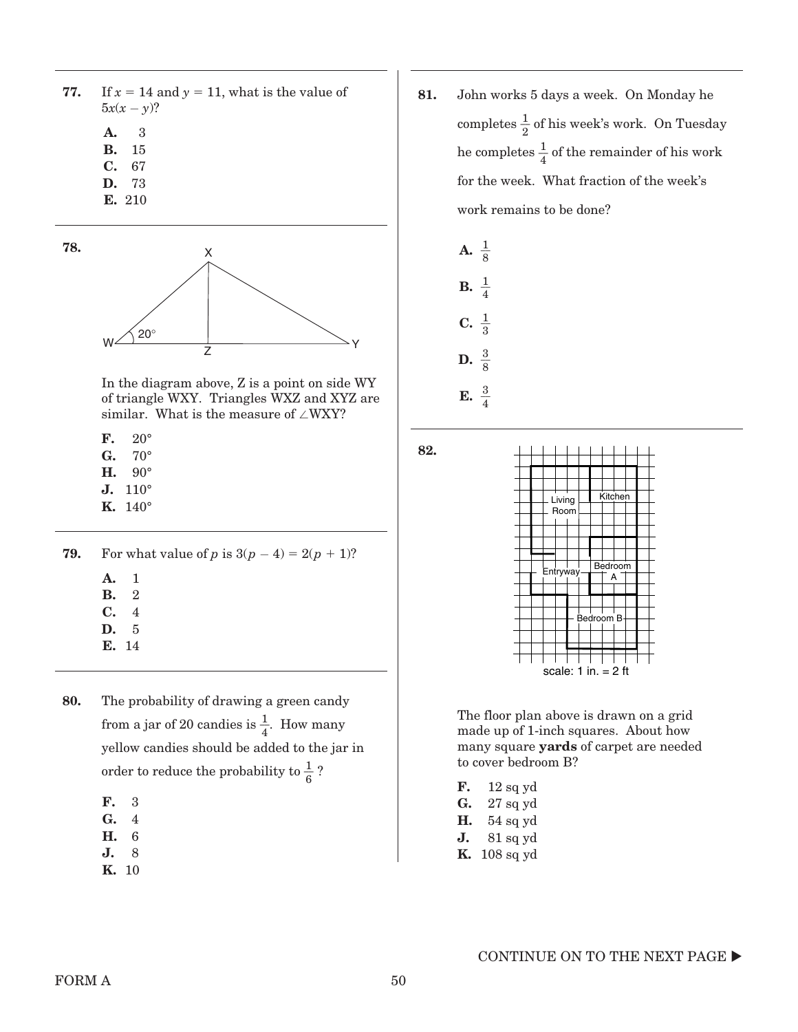**77.** If  $x = 14$  and  $y = 11$ , what is the value of  $5x(x - y)$ ?

- **A.** 3 3
- **B.** 15
- $C_{\bullet}$ 67
- **D.** 73  $\mathbf{E.}$  210
- 



In the diagram above, Z is a point on side WY of triangle WXY. Triangles WXZ and XYZ are similar. What is the measure of  $\angle$ WXY?

- **F.** 20°
- **G.** 70°
- **H.** 90°
- **J.** 110°
- **K.** 140°

**79.** For what value of *p* is  $3(p-4) = 2(p+1)$ ?

- **A.** 1
- **B.** 12 **C.** 4
- **D.** 15
- **E.** 14
- **80.** The probability of drawing a green candy from a jar of 20 candies is  $\frac{1}{4}$ . How many yellow candies should be added to the jar in order to reduce the probability to  $\frac{1}{6}$  ?
	- **F.** 3
	- **G.** 4
	- **H.** 6
	- $J<sub>r</sub>$ 8
	- **K.** 10

**81.**  John works 5 days a week. On Monday he completes  $\frac{1}{2}$  of his week's work. On Tuesday he completes  $\frac{1}{4}$  of the remainder of his work for the week. What fraction of the week's work remains to be done?



**82.**



The floor plan above is drawn on a grid made up of 1-inch squares. About how many square **yards** of carpet are needed to cover bedroom B?

| F. | $12$ sq yd  |
|----|-------------|
| G. | $27$ sq yd  |
| H. | $54$ sq yd  |
| J. | $81$ sq yd  |
| Κ. | $108$ sq yd |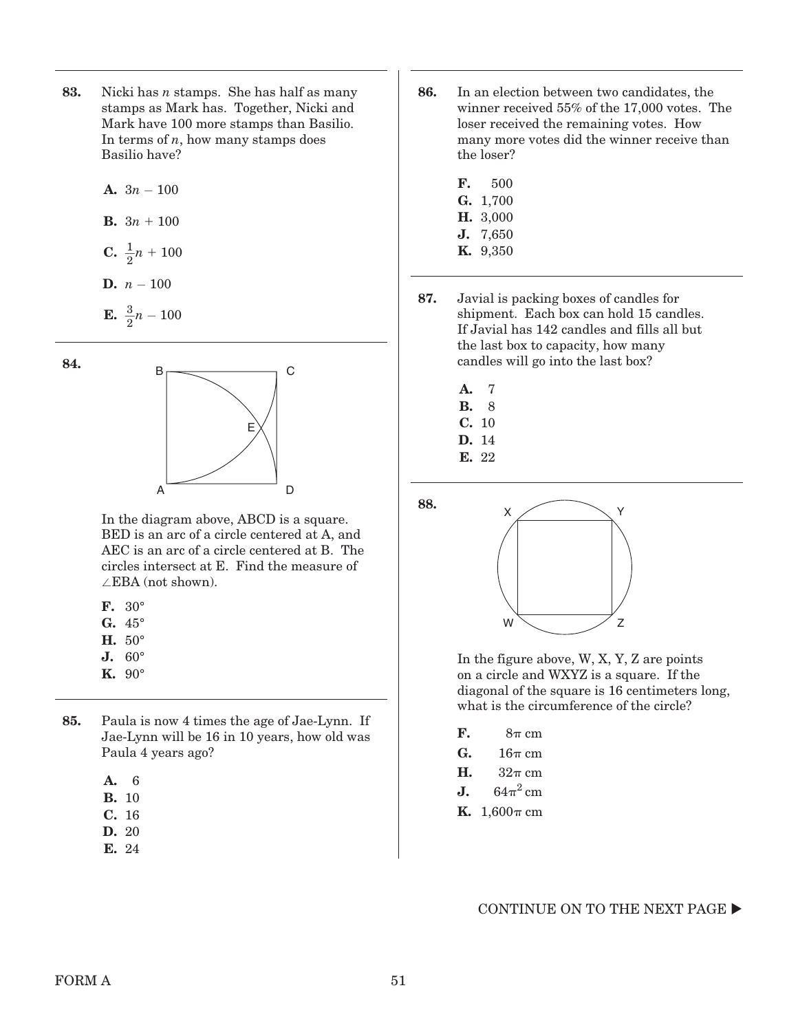- **83.**  Nicki has *n* stamps. She has half as many stamps as Mark has. Together, Nicki and Mark have 100 more stamps than Basilio. In terms of *n*, how many stamps does Basilio have?
	- A.  $3n 100$
	- **B.**  $3n + 100$
	- **C.**  $\frac{1}{2}n + 100$

$$
D. n-100
$$

**E.**  $\frac{3}{2}n - 100$ 





In the diagram above, ABCD is a square. BED is an arc of a circle centered at A, and AEC is an arc of a circle centered at B. The circles intersect at E. Find the measure of  $\angle$ EBA (not shown).

- **F.** 30°
- **G.** 45°
- **H.** 50°
- **J.** 60°
- **K.** 90°
- **85.**  Paula is now 4 times the age of Jae-Lynn. If Jae-Lynn will be 16 in 10 years, how old was Paula 4 years ago?

| ٠ | ×<br>۰. |
|---|---------|
|   |         |

- **B.** 10
- **C.** 16
- **D.** 20
- **E.** 24
- **86.** In an election between two candidates, the winner received 55% of the 17,000 votes. The loser received the remaining votes. How many more votes did the winner receive than the loser?
	- **F.** 500 **G.** 1,700
	- **H.** 3,000
	- **J.** 7,650
	- **K.** 9,350
- **87.**  Javial is packing boxes of candles for shipment. Each box can hold 15 candles. If Javial has 142 candles and fills all but the last box to capacity, how many candles will go into the last box?
	- **A.** 7
	- **B.** 18 **C.** 10
	- **D.** 14
	- **E.** 22
- 



In the figure above, W, X, Y, Z are points on a circle and WXYZ is a square. If the diagonal of the square is 16 centimeters long, what is the circumference of the circle?

- **F.**  $8\pi$  cm
- $G.$  16 $\pi$  cm
- **H.**  $32\pi$  cm
- **J.**  $64\pi^2$  cm
- **K.**  $1,600\pi$  cm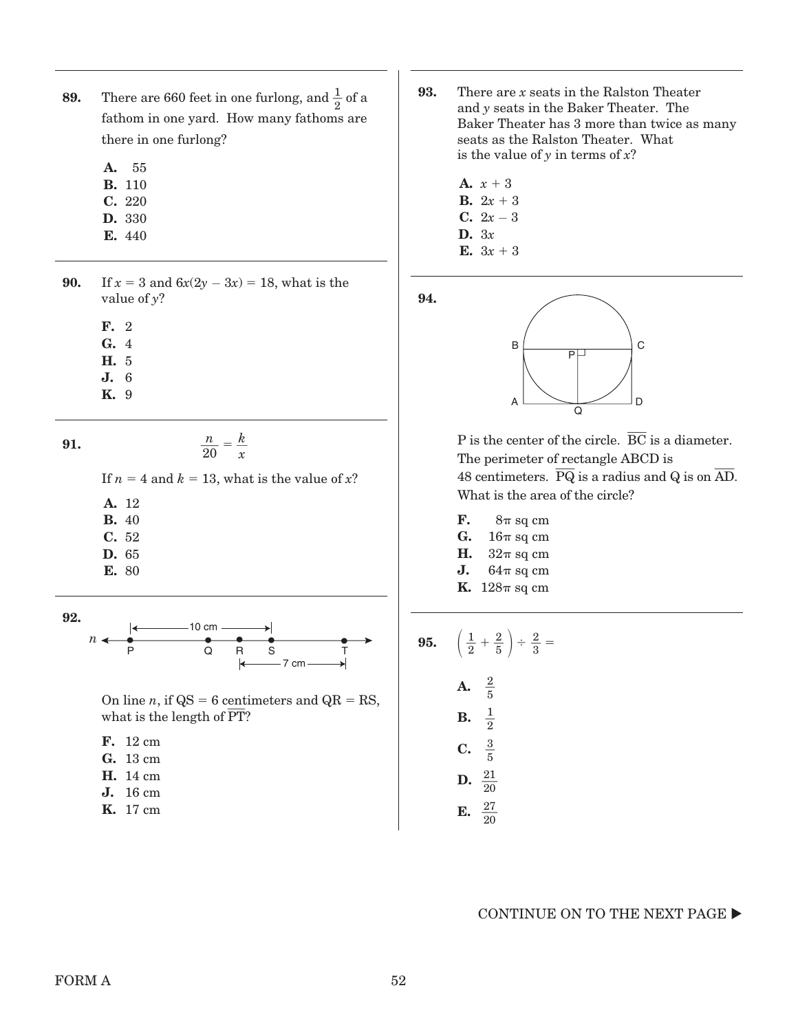- **89.** There are 660 feet in one furlong, and  $\frac{1}{2}$  of a fathom in one yard. How many fathoms are there in one furlong?
	- **A.** 155
	- **B.** 110
	- **C.** 220
	- **D.** 330
	- **E.** 440
- **90.** If  $x = 3$  and  $6x(2y 3x) = 18$ , what is the value of *y*?
	- **F.** 2
	- **G.** 4
	- **H.** 5
	- **J.** 6
	- **K.** 9

$$
91. \qquad \frac{n}{20} = \frac{k}{x}
$$

If  $n = 4$  and  $k = 13$ , what is the value of x?

- **A.** 12
- **B.** 40
- **C.** 52
- **D.** 65
- **E.** 80



On line *n*, if  $QS = 6$  centimeters and  $QR = RS$ , what is the length of  $\overline{PT}$ ?

- **F.** 12 cm
- **G.** 13 cm
- **H.** 14 cm
- **J.** 16 cm
- **K.** 17 cm
- **93.**  There are *x* seats in the Ralston Theater and *y* seats in the Baker Theater. The Baker Theater has 3 more than twice as many seats as the Ralston Theater. What is the value of *y* in terms of *x*?
	- **A.**  $x + 3$ **B.**  $2x + 3$ **C.**  $2x - 3$  $\mathbf{D.}$  3*x* **E.**  $3x + 3$

**94.**



P is the center of the circle.  $\overline{BC}$  is a diameter. The perimeter of rectangle ABCD is 48 centimeters.  $\overline{PQ}$  is a radius and Q is on  $\overline{AD}$ . What is the area of the circle?

- **F.**  $8\pi$  sq cm
- G.  $16\pi$  sq cm
- **H.**  $32\pi$  sq cm
- **J.**  $64\pi$  sq cm
- **K.**  $128\pi$  sq cm

**95.** 
$$
\left(\frac{1}{2} + \frac{2}{5}\right) \div \frac{2}{3} =
$$
  
\n**A.**  $\frac{2}{5}$   
\n**B.**  $\frac{1}{2}$   
\n**C.**  $\frac{3}{5}$   
\n**D.**  $\frac{21}{20}$   
\n**E.**  $\frac{27}{20}$